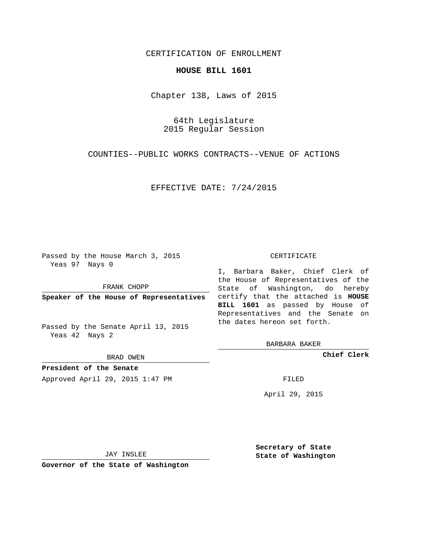## CERTIFICATION OF ENROLLMENT

## **HOUSE BILL 1601**

Chapter 138, Laws of 2015

64th Legislature 2015 Regular Session

COUNTIES--PUBLIC WORKS CONTRACTS--VENUE OF ACTIONS

EFFECTIVE DATE: 7/24/2015

Passed by the House March 3, 2015 Yeas 97 Nays 0

FRANK CHOPP

Passed by the Senate April 13, 2015 Yeas 42 Nays 2

BRAD OWEN

**President of the Senate**

Approved April 29, 2015 1:47 PM FILED

## CERTIFICATE

**Speaker of the House of Representatives** certify that the attached is **HOUSE** I, Barbara Baker, Chief Clerk of the House of Representatives of the State of Washington, do hereby **BILL 1601** as passed by House of Representatives and the Senate on the dates hereon set forth.

BARBARA BAKER

**Chief Clerk**

April 29, 2015

JAY INSLEE

**Governor of the State of Washington**

**Secretary of State State of Washington**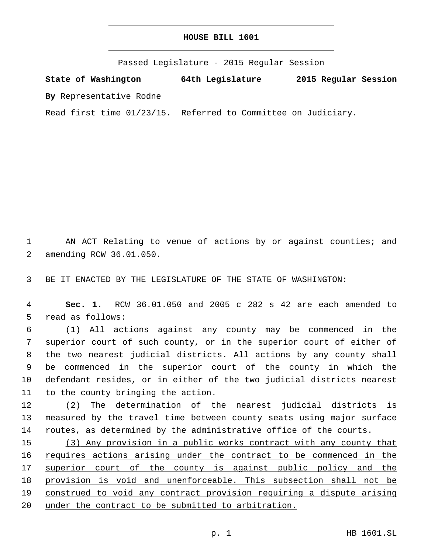## **HOUSE BILL 1601**

Passed Legislature - 2015 Regular Session

**State of Washington 64th Legislature 2015 Regular Session**

**By** Representative Rodne

Read first time 01/23/15. Referred to Committee on Judiciary.

1 AN ACT Relating to venue of actions by or against counties; and 2 amending RCW 36.01.050.

3 BE IT ENACTED BY THE LEGISLATURE OF THE STATE OF WASHINGTON:

4 **Sec. 1.** RCW 36.01.050 and 2005 c 282 s 42 are each amended to 5 read as follows:

 (1) All actions against any county may be commenced in the superior court of such county, or in the superior court of either of the two nearest judicial districts. All actions by any county shall be commenced in the superior court of the county in which the defendant resides, or in either of the two judicial districts nearest 11 to the county bringing the action.

12 (2) The determination of the nearest judicial districts is 13 measured by the travel time between county seats using major surface 14 routes, as determined by the administrative office of the courts.

 (3) Any provision in a public works contract with any county that 16 requires actions arising under the contract to be commenced in the 17 superior court of the county is against public policy and the provision is void and unenforceable. This subsection shall not be construed to void any contract provision requiring a dispute arising under the contract to be submitted to arbitration.